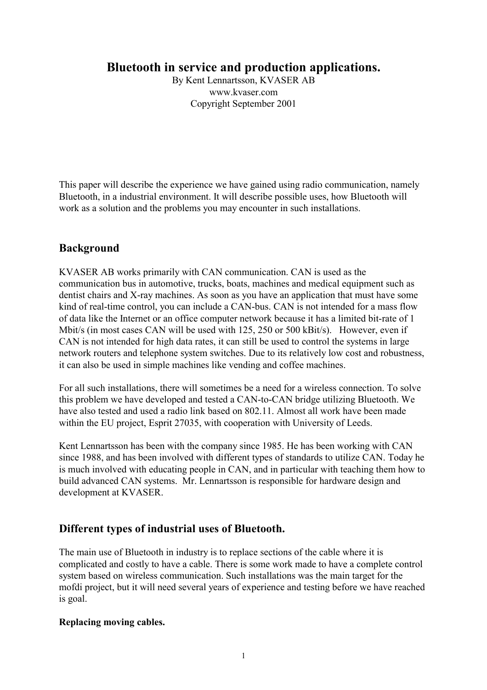# **Bluetooth in service and production applications.**

By Kent Lennartsson, KVASER AB www.kvaser.com Copyright September 2001

This paper will describe the experience we have gained using radio communication, namely Bluetooth, in a industrial environment. It will describe possible uses, how Bluetooth will work as a solution and the problems you may encounter in such installations.

# **Background**

KVASER AB works primarily with CAN communication. CAN is used as the communication bus in automotive, trucks, boats, machines and medical equipment such as dentist chairs and X-ray machines. As soon as you have an application that must have some kind of real-time control, you can include a CAN-bus. CAN is not intended for a mass flow of data like the Internet or an office computer network because it has a limited bit-rate of 1 Mbit/s (in most cases CAN will be used with 125, 250 or 500 kBit/s). However, even if CAN is not intended for high data rates, it can still be used to control the systems in large network routers and telephone system switches. Due to its relatively low cost and robustness, it can also be used in simple machines like vending and coffee machines.

For all such installations, there will sometimes be a need for a wireless connection. To solve this problem we have developed and tested a CAN-to-CAN bridge utilizing Bluetooth. We have also tested and used a radio link based on 802.11. Almost all work have been made within the EU project, Esprit 27035, with cooperation with University of Leeds.

Kent Lennartsson has been with the company since 1985. He has been working with CAN since 1988, and has been involved with different types of standards to utilize CAN. Today he is much involved with educating people in CAN, and in particular with teaching them how to build advanced CAN systems. Mr. Lennartsson is responsible for hardware design and development at KVASER.

# **Different types of industrial uses of Bluetooth.**

The main use of Bluetooth in industry is to replace sections of the cable where it is complicated and costly to have a cable. There is some work made to have a complete control system based on wireless communication. Such installations was the main target for the mofdi project, but it will need several years of experience and testing before we have reached is goal.

## **Replacing moving cables.**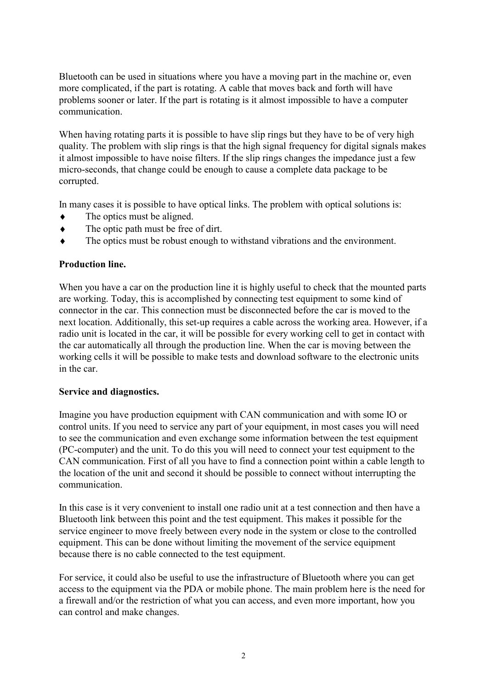Bluetooth can be used in situations where you have a moving part in the machine or, even more complicated, if the part is rotating. A cable that moves back and forth will have problems sooner or later. If the part is rotating is it almost impossible to have a computer communication.

When having rotating parts it is possible to have slip rings but they have to be of very high quality. The problem with slip rings is that the high signal frequency for digital signals makes it almost impossible to have noise filters. If the slip rings changes the impedance just a few micro-seconds, that change could be enough to cause a complete data package to be corrupted.

In many cases it is possible to have optical links. The problem with optical solutions is:

- $\bullet$  The optics must be aligned.
- ♦ The optic path must be free of dirt.
- ♦ The optics must be robust enough to withstand vibrations and the environment.

#### **Production line.**

When you have a car on the production line it is highly useful to check that the mounted parts are working. Today, this is accomplished by connecting test equipment to some kind of connector in the car. This connection must be disconnected before the car is moved to the next location. Additionally, this set-up requires a cable across the working area. However, if a radio unit is located in the car, it will be possible for every working cell to get in contact with the car automatically all through the production line. When the car is moving between the working cells it will be possible to make tests and download software to the electronic units in the car.

#### **Service and diagnostics.**

Imagine you have production equipment with CAN communication and with some IO or control units. If you need to service any part of your equipment, in most cases you will need to see the communication and even exchange some information between the test equipment (PC-computer) and the unit. To do this you will need to connect your test equipment to the CAN communication. First of all you have to find a connection point within a cable length to the location of the unit and second it should be possible to connect without interrupting the communication.

In this case is it very convenient to install one radio unit at a test connection and then have a Bluetooth link between this point and the test equipment. This makes it possible for the service engineer to move freely between every node in the system or close to the controlled equipment. This can be done without limiting the movement of the service equipment because there is no cable connected to the test equipment.

For service, it could also be useful to use the infrastructure of Bluetooth where you can get access to the equipment via the PDA or mobile phone. The main problem here is the need for a firewall and/or the restriction of what you can access, and even more important, how you can control and make changes.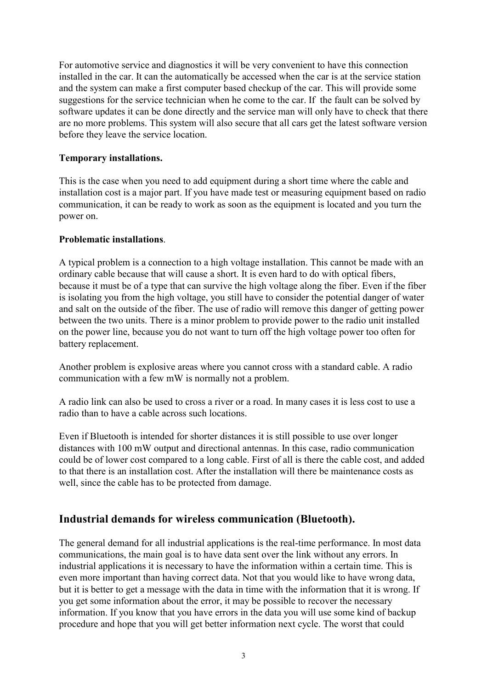For automotive service and diagnostics it will be very convenient to have this connection installed in the car. It can the automatically be accessed when the car is at the service station and the system can make a first computer based checkup of the car. This will provide some suggestions for the service technician when he come to the car. If the fault can be solved by software updates it can be done directly and the service man will only have to check that there are no more problems. This system will also secure that all cars get the latest software version before they leave the service location.

## **Temporary installations.**

This is the case when you need to add equipment during a short time where the cable and installation cost is a major part. If you have made test or measuring equipment based on radio communication, it can be ready to work as soon as the equipment is located and you turn the power on.

## **Problematic installations**.

A typical problem is a connection to a high voltage installation. This cannot be made with an ordinary cable because that will cause a short. It is even hard to do with optical fibers, because it must be of a type that can survive the high voltage along the fiber. Even if the fiber is isolating you from the high voltage, you still have to consider the potential danger of water and salt on the outside of the fiber. The use of radio will remove this danger of getting power between the two units. There is a minor problem to provide power to the radio unit installed on the power line, because you do not want to turn off the high voltage power too often for battery replacement.

Another problem is explosive areas where you cannot cross with a standard cable. A radio communication with a few mW is normally not a problem.

A radio link can also be used to cross a river or a road. In many cases it is less cost to use a radio than to have a cable across such locations.

Even if Bluetooth is intended for shorter distances it is still possible to use over longer distances with 100 mW output and directional antennas. In this case, radio communication could be of lower cost compared to a long cable. First of all is there the cable cost, and added to that there is an installation cost. After the installation will there be maintenance costs as well, since the cable has to be protected from damage.

## **Industrial demands for wireless communication (Bluetooth).**

The general demand for all industrial applications is the real-time performance. In most data communications, the main goal is to have data sent over the link without any errors. In industrial applications it is necessary to have the information within a certain time. This is even more important than having correct data. Not that you would like to have wrong data, but it is better to get a message with the data in time with the information that it is wrong. If you get some information about the error, it may be possible to recover the necessary information. If you know that you have errors in the data you will use some kind of backup procedure and hope that you will get better information next cycle. The worst that could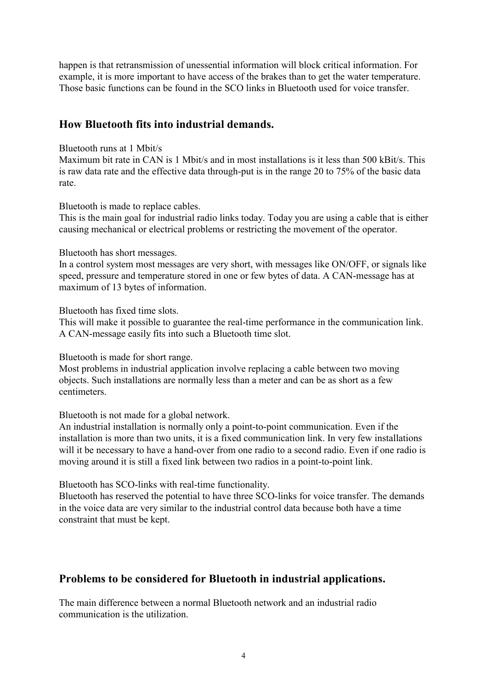happen is that retransmission of unessential information will block critical information. For example, it is more important to have access of the brakes than to get the water temperature. Those basic functions can be found in the SCO links in Bluetooth used for voice transfer.

## **How Bluetooth fits into industrial demands.**

#### Bluetooth runs at 1 Mbit/s

Maximum bit rate in CAN is 1 Mbit/s and in most installations is it less than 500 kBit/s. This is raw data rate and the effective data through-put is in the range 20 to 75% of the basic data rate.

#### Bluetooth is made to replace cables.

This is the main goal for industrial radio links today. Today you are using a cable that is either causing mechanical or electrical problems or restricting the movement of the operator.

#### Bluetooth has short messages.

In a control system most messages are very short, with messages like ON/OFF, or signals like speed, pressure and temperature stored in one or few bytes of data. A CAN-message has at maximum of 13 bytes of information.

Bluetooth has fixed time slots.

This will make it possible to guarantee the real-time performance in the communication link. A CAN-message easily fits into such a Bluetooth time slot.

Bluetooth is made for short range.

Most problems in industrial application involve replacing a cable between two moving objects. Such installations are normally less than a meter and can be as short as a few centimeters.

Bluetooth is not made for a global network.

An industrial installation is normally only a point-to-point communication. Even if the installation is more than two units, it is a fixed communication link. In very few installations will it be necessary to have a hand-over from one radio to a second radio. Even if one radio is moving around it is still a fixed link between two radios in a point-to-point link.

Bluetooth has SCO-links with real-time functionality.

Bluetooth has reserved the potential to have three SCO-links for voice transfer. The demands in the voice data are very similar to the industrial control data because both have a time constraint that must be kept.

## **Problems to be considered for Bluetooth in industrial applications.**

The main difference between a normal Bluetooth network and an industrial radio communication is the utilization.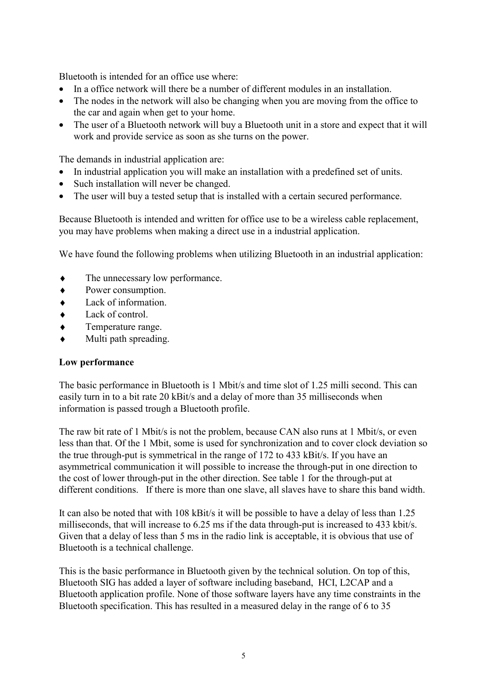Bluetooth is intended for an office use where:

- In a office network will there be a number of different modules in an installation.
- The nodes in the network will also be changing when you are moving from the office to the car and again when get to your home.
- The user of a Bluetooth network will buy a Bluetooth unit in a store and expect that it will work and provide service as soon as she turns on the power.

The demands in industrial application are:

- In industrial application you will make an installation with a predefined set of units.
- Such installation will never be changed.
- The user will buy a tested setup that is installed with a certain secured performance.

Because Bluetooth is intended and written for office use to be a wireless cable replacement, you may have problems when making a direct use in a industrial application.

We have found the following problems when utilizing Bluetooth in an industrial application:

- ♦ The unnecessary low performance.
- ♦ Power consumption.
- ♦ Lack of information.
- ♦ Lack of control.
- ♦ Temperature range.
- Multi path spreading.

#### **Low performance**

The basic performance in Bluetooth is 1 Mbit/s and time slot of 1.25 milli second. This can easily turn in to a bit rate 20 kBit/s and a delay of more than 35 milliseconds when information is passed trough a Bluetooth profile.

The raw bit rate of 1 Mbit/s is not the problem, because CAN also runs at 1 Mbit/s, or even less than that. Of the 1 Mbit, some is used for synchronization and to cover clock deviation so the true through-put is symmetrical in the range of 172 to 433 kBit/s. If you have an asymmetrical communication it will possible to increase the through-put in one direction to the cost of lower through-put in the other direction. See table 1 for the through-put at different conditions. If there is more than one slave, all slaves have to share this band width.

It can also be noted that with 108 kBit/s it will be possible to have a delay of less than 1.25 milliseconds, that will increase to 6.25 ms if the data through-put is increased to 433 kbit/s. Given that a delay of less than 5 ms in the radio link is acceptable, it is obvious that use of Bluetooth is a technical challenge.

This is the basic performance in Bluetooth given by the technical solution. On top of this, Bluetooth SIG has added a layer of software including baseband, HCI, L2CAP and a Bluetooth application profile. None of those software layers have any time constraints in the Bluetooth specification. This has resulted in a measured delay in the range of 6 to 35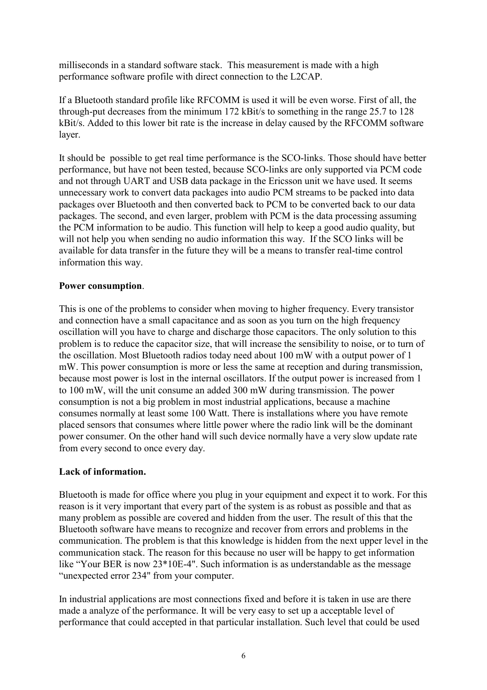milliseconds in a standard software stack. This measurement is made with a high performance software profile with direct connection to the L2CAP.

If a Bluetooth standard profile like RFCOMM is used it will be even worse. First of all, the through-put decreases from the minimum 172 kBit/s to something in the range 25.7 to 128 kBit/s. Added to this lower bit rate is the increase in delay caused by the RFCOMM software layer.

It should be possible to get real time performance is the SCO-links. Those should have better performance, but have not been tested, because SCO-links are only supported via PCM code and not through UART and USB data package in the Ericsson unit we have used. It seems unnecessary work to convert data packages into audio PCM streams to be packed into data packages over Bluetooth and then converted back to PCM to be converted back to our data packages. The second, and even larger, problem with PCM is the data processing assuming the PCM information to be audio. This function will help to keep a good audio quality, but will not help you when sending no audio information this way. If the SCO links will be available for data transfer in the future they will be a means to transfer real-time control information this way.

## **Power consumption**.

This is one of the problems to consider when moving to higher frequency. Every transistor and connection have a small capacitance and as soon as you turn on the high frequency oscillation will you have to charge and discharge those capacitors. The only solution to this problem is to reduce the capacitor size, that will increase the sensibility to noise, or to turn of the oscillation. Most Bluetooth radios today need about 100 mW with a output power of 1 mW. This power consumption is more or less the same at reception and during transmission, because most power is lost in the internal oscillators. If the output power is increased from 1 to 100 mW, will the unit consume an added 300 mW during transmission. The power consumption is not a big problem in most industrial applications, because a machine consumes normally at least some 100 Watt. There is installations where you have remote placed sensors that consumes where little power where the radio link will be the dominant power consumer. On the other hand will such device normally have a very slow update rate from every second to once every day.

## **Lack of information.**

Bluetooth is made for office where you plug in your equipment and expect it to work. For this reason is it very important that every part of the system is as robust as possible and that as many problem as possible are covered and hidden from the user. The result of this that the Bluetooth software have means to recognize and recover from errors and problems in the communication. The problem is that this knowledge is hidden from the next upper level in the communication stack. The reason for this because no user will be happy to get information like "Your BER is now 23\*10E-4". Such information is as understandable as the message "unexpected error 234" from your computer.

In industrial applications are most connections fixed and before it is taken in use are there made a analyze of the performance. It will be very easy to set up a acceptable level of performance that could accepted in that particular installation. Such level that could be used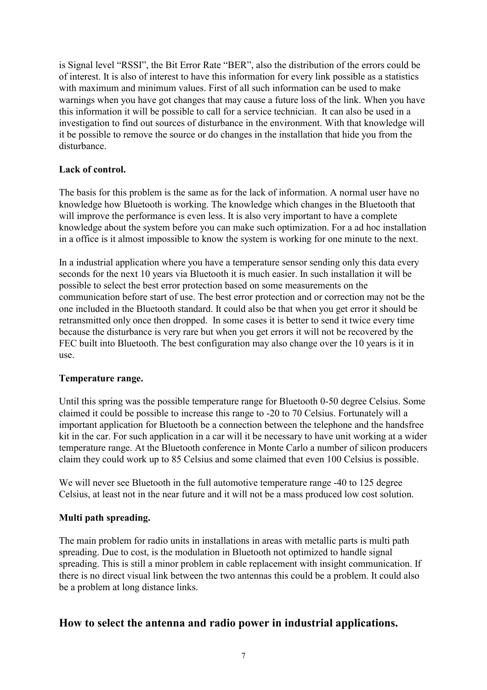is Signal level "RSSI", the Bit Error Rate "BER", also the distribution of the errors could be of interest. It is also of interest to have this information for every link possible as a statistics with maximum and minimum values. First of all such information can be used to make warnings when you have got changes that may cause a future loss of the link. When you have this information it will be possible to call for a service technician. It can also be used in a investigation to find out sources of disturbance in the environment. With that knowledge will it be possible to remove the source or do changes in the installation that hide you from the disturbance.

#### **Lack of control.**

The basis for this problem is the same as for the lack of information. A normal user have no knowledge how Bluetooth is working. The knowledge which changes in the Bluetooth that will improve the performance is even less. It is also very important to have a complete knowledge about the system before you can make such optimization. For a ad hoc installation in a office is it almost impossible to know the system is working for one minute to the next.

In a industrial application where you have a temperature sensor sending only this data every seconds for the next 10 years via Bluetooth it is much easier. In such installation it will be possible to select the best error protection based on some measurements on the communication before start of use. The best error protection and or correction may not be the one included in the Bluetooth standard. It could also be that when you get error it should be retransmitted only once then dropped. In some cases it is better to send it twice every time because the disturbance is very rare but when you get errors it will not be recovered by the FEC built into Bluetooth. The best configuration may also change over the 10 years is it in use.

## **Temperature range.**

Until this spring was the possible temperature range for Bluetooth 0-50 degree Celsius. Some claimed it could be possible to increase this range to -20 to 70 Celsius. Fortunately will a important application for Bluetooth be a connection between the telephone and the handsfree kit in the car. For such application in a car will it be necessary to have unit working at a wider temperature range. At the Bluetooth conference in Monte Carlo a number of silicon producers claim they could work up to 85 Celsius and some claimed that even 100 Celsius is possible.

We will never see Bluetooth in the full automotive temperature range -40 to 125 degree Celsius, at least not in the near future and it will not be a mass produced low cost solution.

## **Multi path spreading.**

The main problem for radio units in installations in areas with metallic parts is multi path spreading. Due to cost, is the modulation in Bluetooth not optimized to handle signal spreading. This is still a minor problem in cable replacement with insight communication. If there is no direct visual link between the two antennas this could be a problem. It could also be a problem at long distance links.

## **How to select the antenna and radio power in industrial applications.**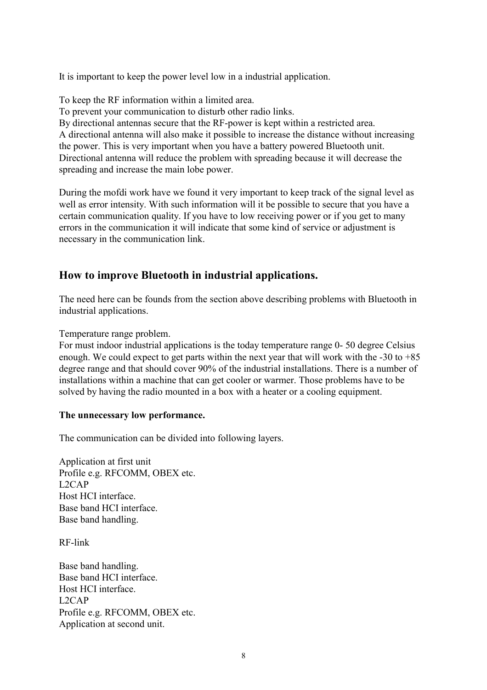It is important to keep the power level low in a industrial application.

To keep the RF information within a limited area.

To prevent your communication to disturb other radio links.

By directional antennas secure that the RF-power is kept within a restricted area.

A directional antenna will also make it possible to increase the distance without increasing the power. This is very important when you have a battery powered Bluetooth unit. Directional antenna will reduce the problem with spreading because it will decrease the spreading and increase the main lobe power.

During the mofdi work have we found it very important to keep track of the signal level as well as error intensity. With such information will it be possible to secure that you have a certain communication quality. If you have to low receiving power or if you get to many errors in the communication it will indicate that some kind of service or adjustment is necessary in the communication link.

# **How to improve Bluetooth in industrial applications.**

The need here can be founds from the section above describing problems with Bluetooth in industrial applications.

Temperature range problem.

For must indoor industrial applications is the today temperature range 0- 50 degree Celsius enough. We could expect to get parts within the next year that will work with the -30 to +85 degree range and that should cover 90% of the industrial installations. There is a number of installations within a machine that can get cooler or warmer. Those problems have to be solved by having the radio mounted in a box with a heater or a cooling equipment.

## **The unnecessary low performance.**

The communication can be divided into following layers.

Application at first unit Profile e.g. RFCOMM, OBEX etc. L2CAP Host HCI interface. Base band HCI interface. Base band handling.

RF-link

Base band handling. Base band HCI interface. Host HCI interface. L2CAP Profile e.g. RFCOMM, OBEX etc. Application at second unit.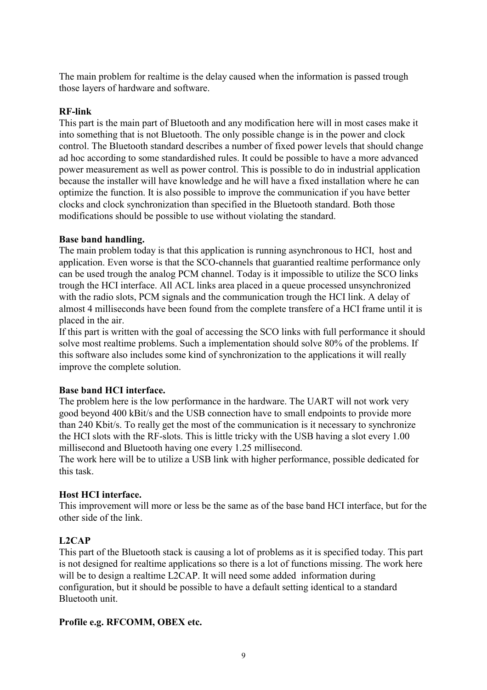The main problem for realtime is the delay caused when the information is passed trough those layers of hardware and software.

## **RF-link**

This part is the main part of Bluetooth and any modification here will in most cases make it into something that is not Bluetooth. The only possible change is in the power and clock control. The Bluetooth standard describes a number of fixed power levels that should change ad hoc according to some standardished rules. It could be possible to have a more advanced power measurement as well as power control. This is possible to do in industrial application because the installer will have knowledge and he will have a fixed installation where he can optimize the function. It is also possible to improve the communication if you have better clocks and clock synchronization than specified in the Bluetooth standard. Both those modifications should be possible to use without violating the standard.

#### **Base band handling.**

The main problem today is that this application is running asynchronous to HCI, host and application. Even worse is that the SCO-channels that guarantied realtime performance only can be used trough the analog PCM channel. Today is it impossible to utilize the SCO links trough the HCI interface. All ACL links area placed in a queue processed unsynchronized with the radio slots, PCM signals and the communication trough the HCI link. A delay of almost 4 milliseconds have been found from the complete transfere of a HCI frame until it is placed in the air.

If this part is written with the goal of accessing the SCO links with full performance it should solve most realtime problems. Such a implementation should solve 80% of the problems. If this software also includes some kind of synchronization to the applications it will really improve the complete solution.

## **Base band HCI interface.**

The problem here is the low performance in the hardware. The UART will not work very good beyond 400 kBit/s and the USB connection have to small endpoints to provide more than 240 Kbit/s. To really get the most of the communication is it necessary to synchronize the HCI slots with the RF-slots. This is little tricky with the USB having a slot every 1.00 millisecond and Bluetooth having one every 1.25 millisecond.

The work here will be to utilize a USB link with higher performance, possible dedicated for this task.

## **Host HCI interface.**

This improvement will more or less be the same as of the base band HCI interface, but for the other side of the link.

## **L2CAP**

This part of the Bluetooth stack is causing a lot of problems as it is specified today. This part is not designed for realtime applications so there is a lot of functions missing. The work here will be to design a realtime L2CAP. It will need some added information during configuration, but it should be possible to have a default setting identical to a standard Bluetooth unit.

#### **Profile e.g. RFCOMM, OBEX etc.**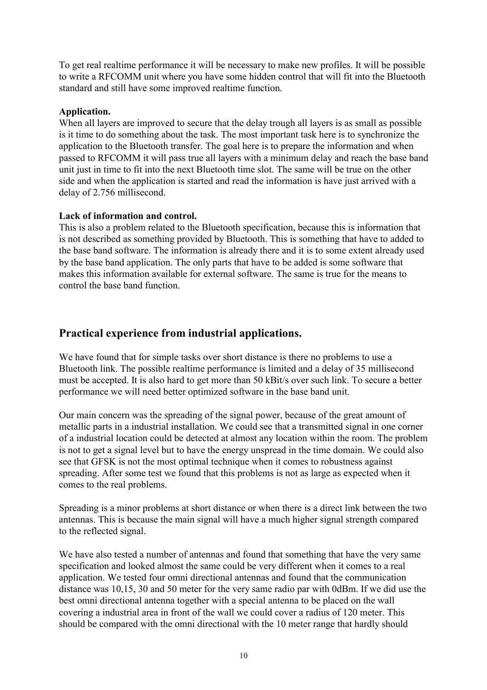To get real realtime performance it will be necessary to make new profiles. It will be possible to write a RFCOMM unit where you have some hidden control that will fit into the Bluetooth standard and still have some improved realtime function.

#### **Application.**

When all layers are improved to secure that the delay trough all layers is as small as possible is it time to do something about the task. The most important task here is to synchronize the application to the Bluetooth transfer. The goal here is to prepare the information and when passed to RFCOMM it will pass true all layers with a minimum delay and reach the base band unit just in time to fit into the next Bluetooth time slot. The same will be true on the other side and when the application is started and read the information is have just arrived with a delay of 2.756 millisecond.

#### **Lack of information and control.**

This is also a problem related to the Bluetooth specification, because this is information that is not described as something provided by Bluetooth. This is something that have to added to the base band software. The information is already there and it is to some extent already used by the base band application. The only parts that have to be added is some software that makes this information available for external software. The same is true for the means to control the base band function.

# **Practical experience from industrial applications.**

We have found that for simple tasks over short distance is there no problems to use a Bluetooth link. The possible realtime performance is limited and a delay of 35 millisecond must be accepted. It is also hard to get more than 50 kBit/s over such link. To secure a better performance we will need better optimized software in the base band unit.

Our main concern was the spreading of the signal power, because of the great amount of metallic parts in a industrial installation. We could see that a transmitted signal in one corner of a industrial location could be detected at almost any location within the room. The problem is not to get a signal level but to have the energy unspread in the time domain. We could also see that GFSK is not the most optimal technique when it comes to robustness against spreading. After some test we found that this problems is not as large as expected when it comes to the real problems.

Spreading is a minor problems at short distance or when there is a direct link between the two antennas. This is because the main signal will have a much higher signal strength compared to the reflected signal.

We have also tested a number of antennas and found that something that have the very same specification and looked almost the same could be very different when it comes to a real application. We tested four omni directional antennas and found that the communication distance was 10,15, 30 and 50 meter for the very same radio par with 0dBm. If we did use the best omni directional antenna together with a special antenna to be placed on the wall covering a industrial area in front of the wall we could cover a radius of 120 meter. This should be compared with the omni directional with the 10 meter range that hardly should